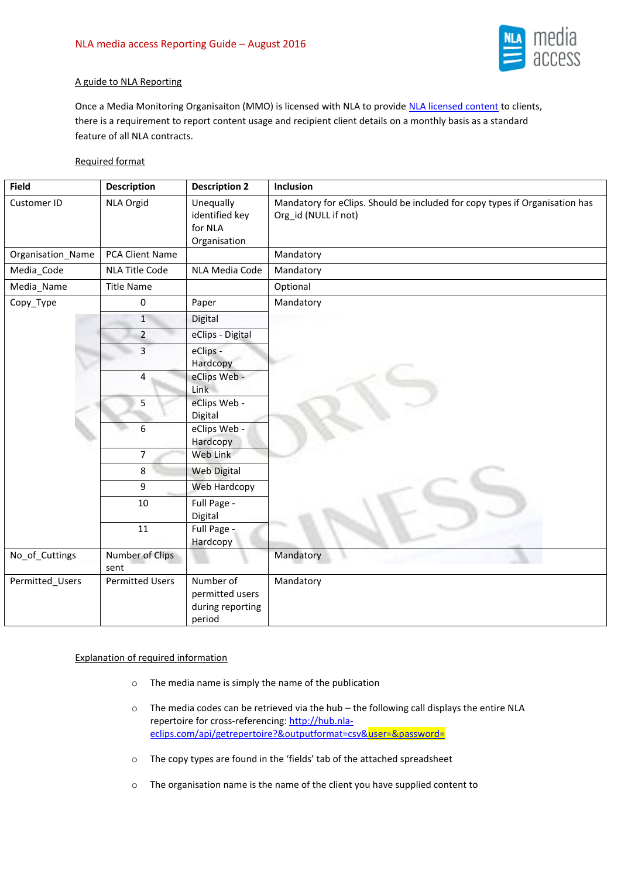

# A guide to NLA Reporting

Once a Media Monitoring Organisaiton (MMO) is licensed with NLA to provide [NLA licensed content](http://www.nlamediaaccess.com/default.aspx?tabid=194) to clients, there is a requirement to report content usage and recipient client details on a monthly basis as a standard feature of all NLA contracts.

# Required format

| <b>Field</b>      | <b>Description</b>      | <b>Description 2</b>                                       | Inclusion                                                                                           |
|-------------------|-------------------------|------------------------------------------------------------|-----------------------------------------------------------------------------------------------------|
| Customer ID       | NLA Orgid               | Unequally<br>identified key<br>for NLA<br>Organisation     | Mandatory for eClips. Should be included for copy types if Organisation has<br>Org_id (NULL if not) |
| Organisation_Name | <b>PCA Client Name</b>  |                                                            | Mandatory                                                                                           |
| Media_Code        | <b>NLA Title Code</b>   | NLA Media Code                                             | Mandatory                                                                                           |
| Media_Name        | <b>Title Name</b>       |                                                            | Optional                                                                                            |
| Copy_Type         | 0                       | Paper                                                      | Mandatory                                                                                           |
|                   | $1\,$                   | Digital                                                    |                                                                                                     |
|                   | $\overline{2}$          | eClips - Digital                                           |                                                                                                     |
|                   | $\overline{3}$          | eClips -<br>Hardcopy                                       |                                                                                                     |
|                   | 4                       | eClips Web -<br>Link                                       |                                                                                                     |
|                   | 5                       | eClips Web -<br>Digital                                    |                                                                                                     |
|                   | $6\phantom{1}$          | eClips Web -<br>Hardcopy                                   |                                                                                                     |
|                   | $\overline{7}$          | Web Link                                                   |                                                                                                     |
|                   | 8                       | Web Digital                                                |                                                                                                     |
|                   | 9                       | Web Hardcopy                                               |                                                                                                     |
|                   | 10                      | Full Page -<br>Digital                                     |                                                                                                     |
|                   | 11                      | Full Page -<br>Hardcopy                                    |                                                                                                     |
| No_of_Cuttings    | Number of Clips<br>sent |                                                            | Mandatory                                                                                           |
| Permitted_Users   | <b>Permitted Users</b>  | Number of<br>permitted users<br>during reporting<br>period | Mandatory                                                                                           |

### Explanation of required information

- o The media name is simply the name of the publication
- $\circ$  The media codes can be retrieved via the hub the following call displays the entire NLA repertoire for cross-referencing[: http://hub.nla](http://hub.nla-eclips.com/api/getrepertoire?&outputformat=csv&user=&password=)eclips.com/api/getrepertoire?&outputformat=csv&user=&password=
- o The copy types are found in the 'fields' tab of the attached spreadsheet
- o The organisation name is the name of the client you have supplied content to